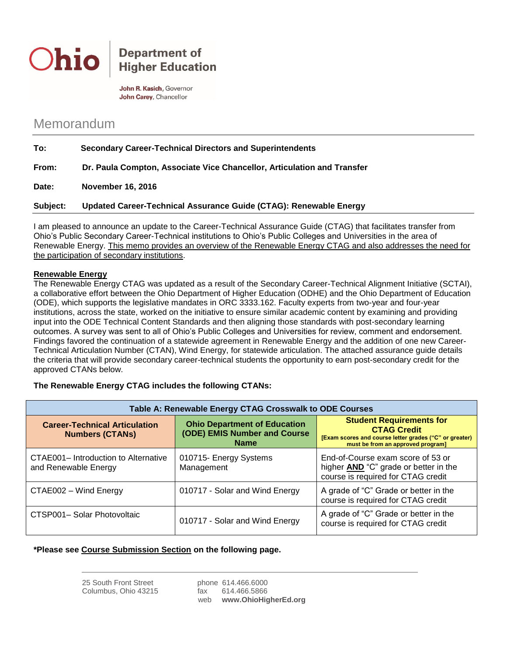

## **Department of Higher Education**

John R. Kasich, Governor John Carey, Chancellor

# Memorandum

| To:      | <b>Secondary Career-Technical Directors and Superintendents</b>         |  |
|----------|-------------------------------------------------------------------------|--|
| From:    | Dr. Paula Compton, Associate Vice Chancellor, Articulation and Transfer |  |
| Date:    | <b>November 16, 2016</b>                                                |  |
| Subject: | Updated Career-Technical Assurance Guide (CTAG): Renewable Energy       |  |

I am pleased to announce an update to the Career-Technical Assurance Guide (CTAG) that facilitates transfer from Ohio's Public Secondary Career-Technical institutions to Ohio's Public Colleges and Universities in the area of Renewable Energy. This memo provides an overview of the Renewable Energy CTAG and also addresses the need for the participation of secondary institutions.

#### **Renewable Energy**

The Renewable Energy CTAG was updated as a result of the Secondary Career-Technical Alignment Initiative (SCTAI), a collaborative effort between the Ohio Department of Higher Education (ODHE) and the Ohio Department of Education (ODE), which supports the legislative mandates in ORC 3333.162. Faculty experts from two-year and four-year institutions, across the state, worked on the initiative to ensure similar academic content by examining and providing input into the ODE Technical Content Standards and then aligning those standards with post-secondary learning outcomes. A survey was sent to all of Ohio's Public Colleges and Universities for review, comment and endorsement. Findings favored the continuation of a statewide agreement in Renewable Energy and the addition of one new Career-Technical Articulation Number (CTAN), Wind Energy, for statewide articulation. The attached assurance guide details the criteria that will provide secondary career-technical students the opportunity to earn post-secondary credit for the approved CTANs below.

#### **The Renewable Energy CTAG includes the following CTANs:**

| Table A: Renewable Energy CTAG Crosswalk to ODE Courses        |                                                                                    |                                                                                                                                                      |  |
|----------------------------------------------------------------|------------------------------------------------------------------------------------|------------------------------------------------------------------------------------------------------------------------------------------------------|--|
| <b>Career-Technical Articulation</b><br><b>Numbers (CTANs)</b> | <b>Ohio Department of Education</b><br>(ODE) EMIS Number and Course<br><b>Name</b> | <b>Student Requirements for</b><br><b>CTAG Credit</b><br>[Exam scores and course letter grades ("C" or greater)<br>must be from an approved program] |  |
| CTAE001- Introduction to Alternative<br>and Renewable Energy   | 010715- Energy Systems<br>Management                                               | End-of-Course exam score of 53 or<br>higher <b>AND</b> "C" grade or better in the<br>course is required for CTAG credit                              |  |
| CTAE002 - Wind Energy                                          | 010717 - Solar and Wind Energy                                                     | A grade of "C" Grade or better in the<br>course is required for CTAG credit                                                                          |  |
| CTSP001- Solar Photovoltaic                                    | 010717 - Solar and Wind Energy                                                     | A grade of "C" Grade or better in the<br>course is required for CTAG credit                                                                          |  |

#### **\*Please see Course Submission Section on the following page.**